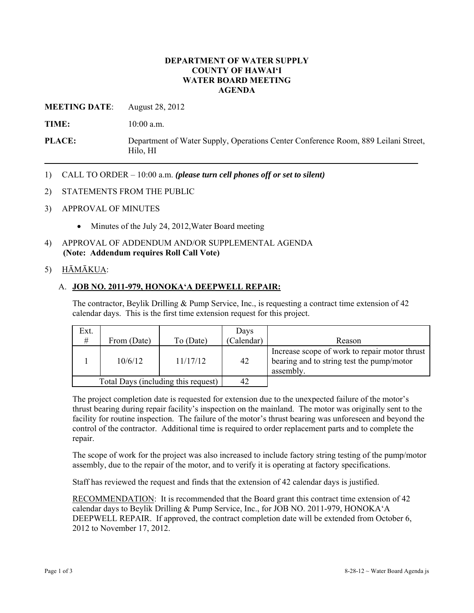### **DEPARTMENT OF WATER SUPPLY COUNTY OF HAWAI'I WATER BOARD MEETING AGENDA**

**MEETING DATE**: August 28, 2012

**TIME:** 10:00 a.m.

**PLACE:** Department of Water Supply, Operations Center Conference Room, 889 Leilani Street, Hilo, HI

- 1) CALL TO ORDER 10:00 a.m. *(please turn cell phones off or set to silent)*
- 2) STATEMENTS FROM THE PUBLIC
- 3) APPROVAL OF MINUTES
	- Minutes of the July 24, 2012, Water Board meeting
- 4) APPROVAL OF ADDENDUM AND/OR SUPPLEMENTAL AGENDA **(Note: Addendum requires Roll Call Vote)**

## 5) HĀMĀKUA:

### A. **JOB NO. 2011-979, HONOKA'A DEEPWELL REPAIR:**

The contractor, Beylik Drilling & Pump Service, Inc., is requesting a contract time extension of 42 calendar days. This is the first time extension request for this project.

| Ext.<br>#                           | From (Date) |           | Days<br>(Calendar) |                                                                                                         |
|-------------------------------------|-------------|-----------|--------------------|---------------------------------------------------------------------------------------------------------|
|                                     |             | To (Date) |                    | Reason                                                                                                  |
|                                     | 10/6/12     | 11/17/12  | 42                 | Increase scope of work to repair motor thrust<br>bearing and to string test the pump/motor<br>assembly. |
| Total Days (including this request) |             |           | 42                 |                                                                                                         |

The project completion date is requested for extension due to the unexpected failure of the motor's thrust bearing during repair facility's inspection on the mainland. The motor was originally sent to the facility for routine inspection. The failure of the motor's thrust bearing was unforeseen and beyond the control of the contractor. Additional time is required to order replacement parts and to complete the repair.

The scope of work for the project was also increased to include factory string testing of the pump/motor assembly, due to the repair of the motor, and to verify it is operating at factory specifications.

Staff has reviewed the request and finds that the extension of 42 calendar days is justified.

RECOMMENDATION: It is recommended that the Board grant this contract time extension of 42 calendar days to Beylik Drilling & Pump Service, Inc., for JOB NO. 2011-979, HONOKA'A DEEPWELL REPAIR. If approved, the contract completion date will be extended from October 6, 2012 to November 17, 2012.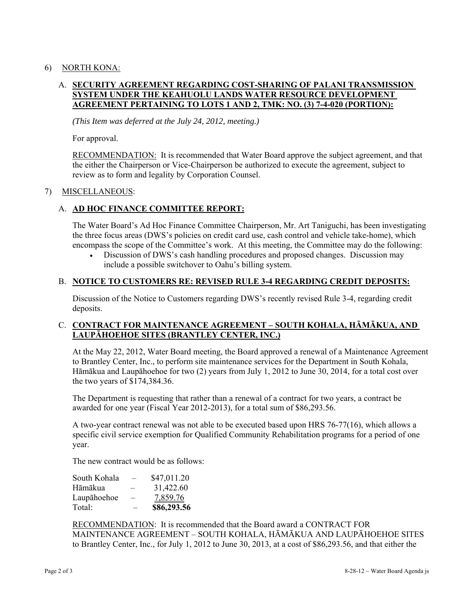## 6) NORTH KONA:

# A. **SECURITY AGREEMENT REGARDING COST-SHARING OF PALANI TRANSMISSION SYSTEM UNDER THE KEAHUOLU LANDS WATER RESOURCE DEVELOPMENT AGREEMENT PERTAINING TO LOTS 1 AND 2, TMK: NO. (3) 7-4-020 (PORTION):**

*(This Item was deferred at the July 24, 2012, meeting.)* 

For approval.

RECOMMENDATION: It is recommended that Water Board approve the subject agreement, and that the either the Chairperson or Vice-Chairperson be authorized to execute the agreement, subject to review as to form and legality by Corporation Counsel.

### 7) MISCELLANEOUS:

# A. **AD HOC FINANCE COMMITTEE REPORT:**

The Water Board's Ad Hoc Finance Committee Chairperson, Mr. Art Taniguchi, has been investigating the three focus areas (DWS's policies on credit card use, cash control and vehicle take-home), which encompass the scope of the Committee's work. At this meeting, the Committee may do the following:

 Discussion of DWS's cash handling procedures and proposed changes. Discussion may include a possible switchover to Oahu's billing system.

### B. **NOTICE TO CUSTOMERS RE: REVISED RULE 3-4 REGARDING CREDIT DEPOSITS:**

Discussion of the Notice to Customers regarding DWS's recently revised Rule 3-4, regarding credit deposits.

## C. **CONTRACT FOR MAINTENANCE AGREEMENT – SOUTH KOHALA, HĀMĀKUA, AND LAUPĀHOEHOE SITES (BRANTLEY CENTER, INC.)**

At the May 22, 2012, Water Board meeting, the Board approved a renewal of a Maintenance Agreement to Brantley Center, Inc., to perform site maintenance services for the Department in South Kohala, Hāmākua and Laupāhoehoe for two (2) years from July 1, 2012 to June 30, 2014, for a total cost over the two years of \$174,384.36.

The Department is requesting that rather than a renewal of a contract for two years, a contract be awarded for one year (Fiscal Year 2012-2013), for a total sum of \$86,293.56.

A two-year contract renewal was not able to be executed based upon HRS 76-77(16), which allows a specific civil service exemption for Qualified Community Rehabilitation programs for a period of one year.

The new contract would be as follows:

| South Kohala | $\overline{\phantom{0}}$ | \$47,011.20 |
|--------------|--------------------------|-------------|
| Hāmākua      | -                        | 31,422.60   |
| Laupāhoehoe  | -                        | 7,859.76    |
| Total:       | -                        | \$86,293.56 |

RECOMMENDATION: It is recommended that the Board award a CONTRACT FOR MAINTENANCE AGREEMENT – SOUTH KOHALA, HĀMĀKUA AND LAUPĀHOEHOE SITES to Brantley Center, Inc., for July 1, 2012 to June 30, 2013, at a cost of \$86,293.56, and that either the